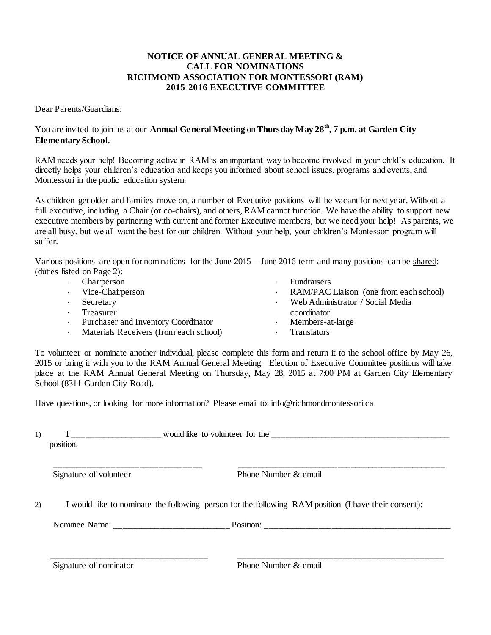# **NOTICE OF ANNUAL GENERAL MEETING & CALL FOR NOMINATIONS RICHMOND ASSOCIATION FOR MONTESSORI (RAM) 2015-2016 EXECUTIVE COMMITTEE**

Dear Parents/Guardians:

# You are invited to join us at our **Annual General Meeting** on **Thursday May 28 th, 7 p.m. at Garden City Elementary School.**

RAM needs your help! Becoming active in RAM is an important way to become involved in your child's education. It directly helps your children's education and keeps you informed about school issues, programs and events, and Montessori in the public education system.

As children get older and families move on, a number of Executive positions will be vacant for next year. Without a full executive, including a Chair (or co-chairs), and others, RAM cannot function. We have the ability to support new executive members by partnering with current and former Executive members, but we need your help! As parents, we are all busy, but we all want the best for our children. Without your help, your children's Montessori program will suffer.

Various positions are open for nominations for the June 2015 – June 2016 term and many positions can be shared: (duties listed on Page 2):

| Chairperson                            | <b>Fundraisers</b>                     |
|----------------------------------------|----------------------------------------|
| Vice-Chairperson                       | RAM/PAC Liaison (one from each school) |
| Secretary                              | Web Administrator / Social Media       |
| Treasurer                              | coordinator                            |
| Purchaser and Inventory Coordinator    | Members-at-large                       |
| Materials Receivers (from each school) | <b>Translators</b>                     |
|                                        |                                        |

To volunteer or nominate another individual, please complete this form and return it to the school office by May 26, 2015 or bring it with you to the RAM Annual General Meeting. Election of Executive Committee positions will take place at the RAM Annual General Meeting on Thursday, May 28, 2015 at 7:00 PM at Garden City Elementary School (8311 Garden City Road).

Have questions, or looking for more information? Please email to[: info@richmondmontessori.ca](mailto:info@richmondmontessori.ca)

| Signature of volunteer                                                                               | Phone Number & email |  |  |
|------------------------------------------------------------------------------------------------------|----------------------|--|--|
| I would like to nominate the following person for the following RAM position (I have their consent): |                      |  |  |
|                                                                                                      |                      |  |  |